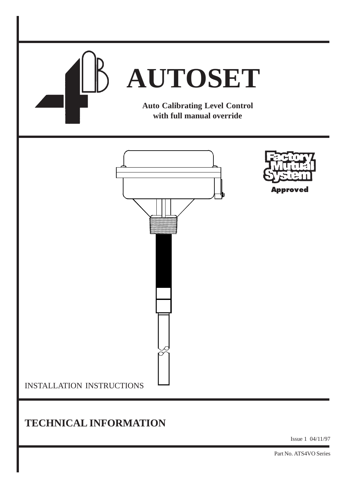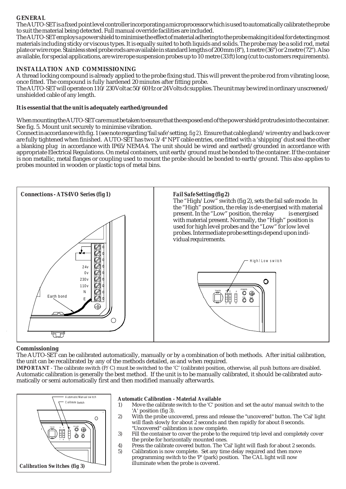# **GENERAL**

The AUTO-SET is a fixed point level controller incorporating a microprocessor which is used to automatically calibrate the probe to suit the material being detected. Full manual override facilities are included.

The AUTO-SET employs a power shield to minimise the effect of material adhering to the probe making it ideal for detecting most materials including sticky or viscous types. It is equally suited to both liquids and solids. The probe may be a solid rod, metal plate or wire rope. Stainless steel probe rods are available in standard lengths of 200 mm (8"), 1 metre (36") or 2 metre (72"). Also available, for special applications, are wire rope suspension probes up to 10 metre (33 ft) long (cut to customers requirements).

# **INSTALLATION AND COMMISSIONING**

A thread locking compound is already applied to the probe fixing stud. This will prevent the probe rod from vibrating loose, once fitted. The compound is fully hardened 20 minutes after fitting probe.

The AUTO-SET will operate on 110/230 Volt ac 50/60 Hz or 24 Volts dc supplies. The unit may be wired in ordinary unscreened/ unshielded cable of any length.

## **It is essential that the unit is adequately earthed/grounded**

When mounting the AUTO-SET care must be taken to ensure that the exposed end of the power shield protrudes into the container. See fig. 5. Mount unit securely to minimise vibration.

Connect in accordance with fig. 1 (see note regarding 'fail safe' setting. *fig 2*). Ensure that cable gland/wire entry and back cover are fully tightened when finished. AUTO-SET has two 3/4" NPT cable entries, one fitted with a 'shipping' dust seal the other a blanking plug in accordance with IP65/NEMA4. The unit should be wired and earthed/grounded in accordance with appropriate Electrical Regulations. On metal containers, unit earth/ground must be bonded to the container. If the container is non metallic, metal flanges or coupling used to mount the probe should be bonded to earth/ground. This also applies to probes mounted in wooden or plastic tops of metal bins.



#### **Commissioning**

The AUTO-SET can be calibrated automatically, manually or by a combination of both methods. After initial calibration, the unit can be recalibrated by any of the methods detailed, as and when required.

*IMPORTANT* - The calibrate switch (P/C) must be switched to the 'C' (calibrate) position, otherwise, all push buttons are disabled. Automatic calibration is generally the best method. If the unit is to be manually calibrated, it should be calibrated automatically or semi automatically first and then modified manually afterwards.



#### **Automatic Calibration - Material Available**

- 1) Move the calibrate switch to the 'C' position and set the auto/manual switch to the 'A' position (fig 3).
- 2) With the probe uncovered, press and release the "uncovered" button. The 'Cal' light will flash slowly for about 2 seconds and then rapidly for about 8 seconds. "Uncovered" calibration is now complete.
- 3) Fill the container to cover the probe to the required trip level and completely cover the probe for horizontally mounted ones.
- 4) Press the calibrate covered button. The 'Cal' light will flash for about 2 seconds.<br>5) Calibration is now complete. Set any time delay required and then move Calibration is now complete. Set any time delay required and then move programming switch to the 'P' (park) position. The CAL light will now illuminate when the probe is covered.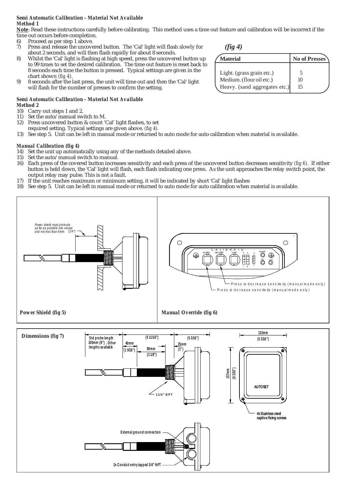#### *Semi Automatic Calibration - Material Not Available Method 1*

**Note**: Read these instructions carefully before calibrating. This method uses a time out feature and calibration will be incorrect if the time out occurs before completion.

- 6) Proceed as per step 1 above.<br>  $7$  Press and release the uncove
- 7) Press and release the uncovered button. The 'Cal' light will flash slowly for about 2 seconds, and will then flash rapidly for about 8 seconds.
- 8) Whilst the 'Cal' light is flashing at high speed, press the uncovered button up to 99 times to set the desired calibration. The time out feature is reset back to 8 seconds each time the button is pressed. Typical settings are given in the chart shown *(fig 4)*.
- 9) 8 seconds after the last press, the unit will time out and then the 'Cal' light will flash for the number of presses to confirm the setting.

# *Semi Automatic Calibration - Material Not Available*

#### *Method 2*

- 10) Carry out steps 1 and 2.<br>11) Set the auto/manual sw
- Set the auto/manual switch to M.
- 12) Press uncovered button & count 'Cal' light flashes, to set required setting. Typical settings are given above. *(fig 4).*
- 13) See step 5. Unit can be left in manual mode or returned to auto mode for auto calibration when material is available.

## *Manual Calibration (fig 4)*

- 14) Set the unit up automatically using any of the methods detailed above.
- 15) Set the auto/manual switch to manual.
- 16) Each press of the covered button increases sensitivity and each press of the uncovered button decreases sensitivity *(fig 6)*. If either button is held down, the 'Cal' light will flash, each flash indicating one press. As the unit approaches the relay switch point, the output relay may pulse. This is not a fault.
- 17) If the unit reaches maximum or minimum setting, it will be indicated by short 'Cal' light flashes
- 18) See step 5. Unit can be left in manual mode or returned to auto mode for auto calibration when material is available.



| ,,,,,,,                       |               |
|-------------------------------|---------------|
| <b>Material</b>               | No of Presses |
|                               |               |
| Light. (grass grain etc.)     |               |
| Medium. (flour oil etc.)      | 10            |
| Heavy. (sand aggregates etc.) | 15            |

*(fig 4)*